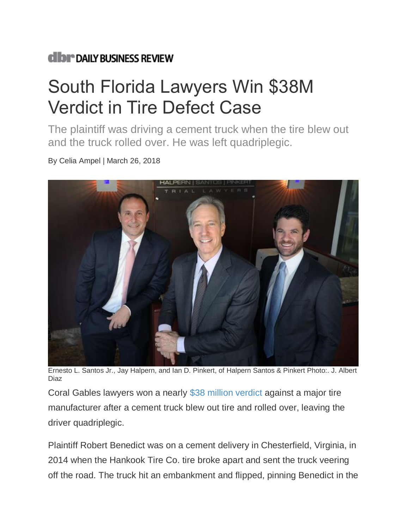## **dibr** DAILY BUSINESS REVIEW

## South Florida Lawyers Win \$38M Verdict in Tire Defect Case

The plaintiff was driving a cement truck when the tire blew out and the truck rolled over. He was left quadriplegic.

By Celia Ampel | March 26, 2018



Ernesto L. Santos Jr., Jay Halpern, and Ian D. Pinkert, of Halpern Santos & Pinkert Photo:. J. Albert Diaz

Coral Gables lawyers won a nearly [\\$38 million verdict](https://images.law.com/contrib/content/uploads/documents/392/16378/Hankook-verdict.pdf) against a major tire manufacturer after a cement truck blew out tire and rolled over, leaving the driver quadriplegic.

Plaintiff Robert Benedict was on a cement delivery in Chesterfield, Virginia, in 2014 when the Hankook Tire Co. tire broke apart and sent the truck veering off the road. The truck hit an embankment and flipped, pinning Benedict in the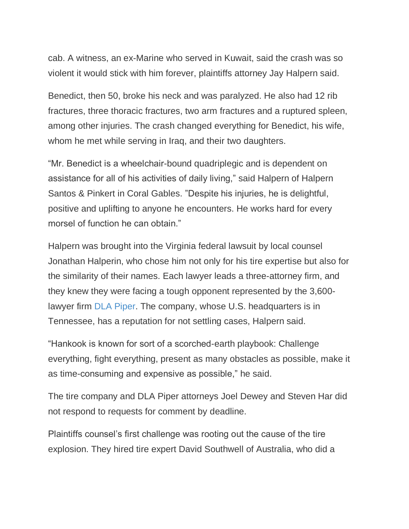cab. A witness, an ex-Marine who served in Kuwait, said the crash was so violent it would stick with him forever, plaintiffs attorney Jay Halpern said.

Benedict, then 50, broke his neck and was paralyzed. He also had 12 rib fractures, three thoracic fractures, two arm fractures and a ruptured spleen, among other injuries. The crash changed everything for Benedict, his wife, whom he met while serving in Iraq, and their two daughters.

"Mr. Benedict is a wheelchair-bound quadriplegic and is dependent on assistance for all of his activities of daily living," said Halpern of Halpern Santos & Pinkert in Coral Gables. "Despite his injuries, he is delightful, positive and uplifting to anyone he encounters. He works hard for every morsel of function he can obtain."

Halpern was brought into the Virginia federal lawsuit by local counsel Jonathan Halperin, who chose him not only for his tire expertise but also for the similarity of their names. Each lawyer leads a three-attorney firm, and they knew they were facing a tough opponent represented by the 3,600 lawyer firm [DLA Piper.](https://www.law.com/law-firm-profile?id=242&name=DLA-Piper) The company, whose U.S. headquarters is in Tennessee, has a reputation for not settling cases, Halpern said.

"Hankook is known for sort of a scorched-earth playbook: Challenge everything, fight everything, present as many obstacles as possible, make it as time-consuming and expensive as possible," he said.

The tire company and DLA Piper attorneys Joel Dewey and Steven Har did not respond to requests for comment by deadline.

Plaintiffs counsel's first challenge was rooting out the cause of the tire explosion. They hired tire expert David Southwell of Australia, who did a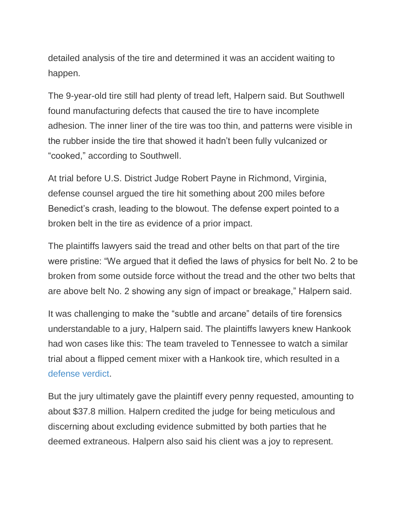detailed analysis of the tire and determined it was an accident waiting to happen.

The 9-year-old tire still had plenty of tread left, Halpern said. But Southwell found manufacturing defects that caused the tire to have incomplete adhesion. The inner liner of the tire was too thin, and patterns were visible in the rubber inside the tire that showed it hadn't been fully vulcanized or "cooked," according to Southwell.

At trial before U.S. District Judge Robert Payne in Richmond, Virginia, defense counsel argued the tire hit something about 200 miles before Benedict's crash, leading to the blowout. The defense expert pointed to a broken belt in the tire as evidence of a prior impact.

The plaintiffs lawyers said the tread and other belts on that part of the tire were pristine: "We argued that it defied the laws of physics for belt No. 2 to be broken from some outside force without the tread and the other two belts that are above belt No. 2 showing any sign of impact or breakage," Halpern said.

It was challenging to make the "subtle and arcane" details of tire forensics understandable to a jury, Halpern said. The plaintiffs lawyers knew Hankook had won cases like this: The team traveled to Tennessee to watch a similar trial about a flipped cement mixer with a Hankook tire, which resulted in a [defense verdict.](http://www.nealharwell.com/nh-attorneys-obtain-defense-verdict-and-win-for-hankook-tires/)

But the jury ultimately gave the plaintiff every penny requested, amounting to about \$37.8 million. Halpern credited the judge for being meticulous and discerning about excluding evidence submitted by both parties that he deemed extraneous. Halpern also said his client was a joy to represent.